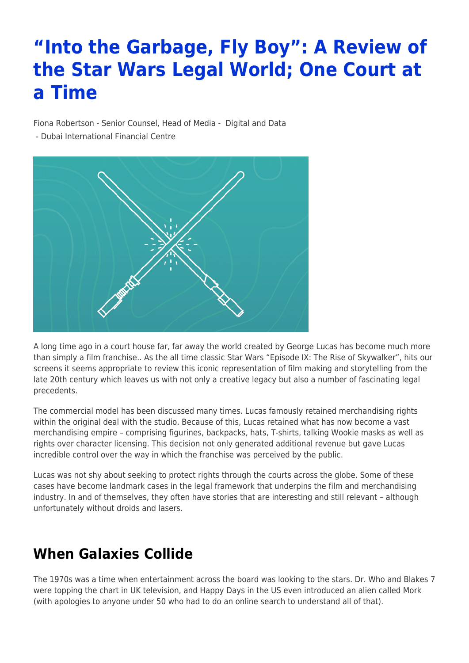# **"Into the Garbage, Fly Boy": A Review of the Star Wars Legal World; One Court at a Time**

Fiona Robertson - Senior Counsel, Head of Media - [Digital and Data](https://www.tamimi.com/client-services/practices/digital-data/)

- [Dubai International Financial Centre](https://www.tamimi.com/locations/uae/)



A long time ago in a court house far, far away the world created by George Lucas has become much more than simply a film franchise.. As the all time classic Star Wars "Episode IX: The Rise of Skywalker", hits our screens it seems appropriate to review this iconic representation of film making and storytelling from the late 20th century which leaves us with not only a creative legacy but also a number of fascinating legal precedents.

The commercial model has been discussed many times. Lucas famously retained merchandising rights within the original deal with the studio. Because of this, Lucas retained what has now become a vast merchandising empire – comprising figurines, backpacks, hats, T-shirts, talking Wookie masks as well as rights over character licensing. This decision not only generated additional revenue but gave Lucas incredible control over the way in which the franchise was perceived by the public.

Lucas was not shy about seeking to protect rights through the courts across the globe. Some of these cases have become landmark cases in the legal framework that underpins the film and merchandising industry. In and of themselves, they often have stories that are interesting and still relevant – although unfortunately without droids and lasers.

## **When Galaxies Collide**

The 1970s was a time when entertainment across the board was looking to the stars. Dr. Who and Blakes 7 were topping the chart in UK television, and Happy Days in the US even introduced an alien called Mork (with apologies to anyone under 50 who had to do an online search to understand all of that).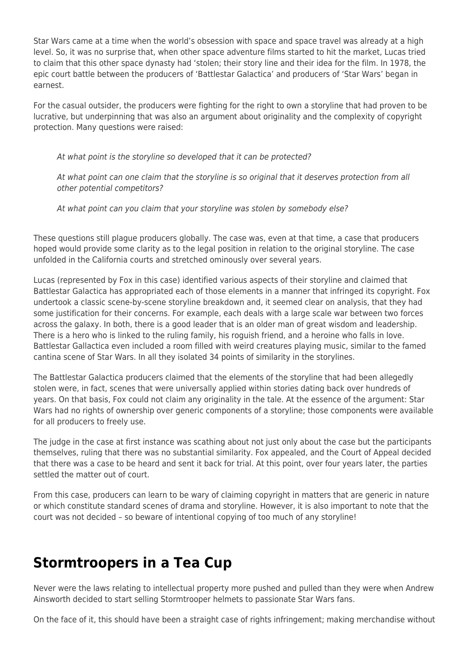Star Wars came at a time when the world's obsession with space and space travel was already at a high level. So, it was no surprise that, when other space adventure films started to hit the market, Lucas tried to claim that this other space dynasty had 'stolen; their story line and their idea for the film. In 1978, the epic court battle between the producers of 'Battlestar Galactica' and producers of 'Star Wars' began in earnest.

For the casual outsider, the producers were fighting for the right to own a storyline that had proven to be lucrative, but underpinning that was also an argument about originality and the complexity of copyright protection. Many questions were raised:

At what point is the storyline so developed that it can be protected?

At what point can one claim that the storyline is so original that it deserves protection from all other potential competitors?

At what point can you claim that your storyline was stolen by somebody else?

These questions still plague producers globally. The case was, even at that time, a case that producers hoped would provide some clarity as to the legal position in relation to the original storyline. The case unfolded in the California courts and stretched ominously over several years.

Lucas (represented by Fox in this case) identified various aspects of their storyline and claimed that Battlestar Galactica has appropriated each of those elements in a manner that infringed its copyright. Fox undertook a classic scene-by-scene storyline breakdown and, it seemed clear on analysis, that they had some justification for their concerns. For example, each deals with a large scale war between two forces across the galaxy. In both, there is a good leader that is an older man of great wisdom and leadership. There is a hero who is linked to the ruling family, his roguish friend, and a heroine who falls in love. Battlestar Gallactica even included a room filled with weird creatures playing music, similar to the famed cantina scene of Star Wars. In all they isolated 34 points of similarity in the storylines.

The Battlestar Galactica producers claimed that the elements of the storyline that had been allegedly stolen were, in fact, scenes that were universally applied within stories dating back over hundreds of years. On that basis, Fox could not claim any originality in the tale. At the essence of the argument: Star Wars had no rights of ownership over generic components of a storyline; those components were available for all producers to freely use.

The judge in the case at first instance was scathing about not just only about the case but the participants themselves, ruling that there was no substantial similarity. Fox appealed, and the Court of Appeal decided that there was a case to be heard and sent it back for trial. At this point, over four years later, the parties settled the matter out of court.

From this case, producers can learn to be wary of claiming copyright in matters that are generic in nature or which constitute standard scenes of drama and storyline. However, it is also important to note that the court was not decided – so beware of intentional copying of too much of any storyline!

#### **Stormtroopers in a Tea Cup**

Never were the laws relating to intellectual property more pushed and pulled than they were when Andrew Ainsworth decided to start selling Stormtrooper helmets to passionate Star Wars fans.

On the face of it, this should have been a straight case of rights infringement; making merchandise without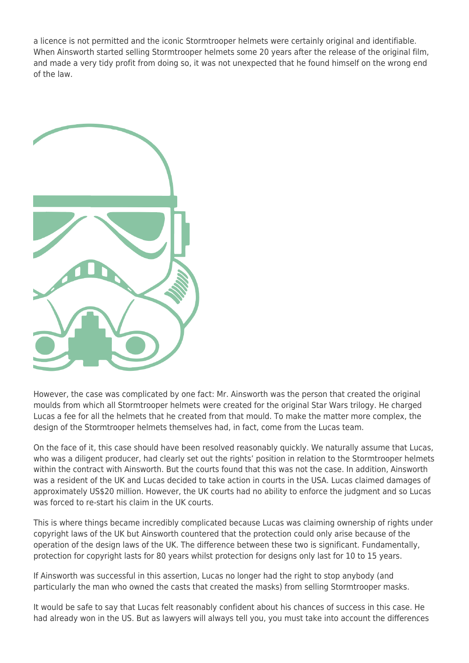a licence is not permitted and the iconic Stormtrooper helmets were certainly original and identifiable. When Ainsworth started selling Stormtrooper helmets some 20 years after the release of the original film, and made a very tidy profit from doing so, it was not unexpected that he found himself on the wrong end of the law.



However, the case was complicated by one fact: Mr. Ainsworth was the person that created the original moulds from which all Stormtrooper helmets were created for the original Star Wars trilogy. He charged Lucas a fee for all the helmets that he created from that mould. To make the matter more complex, the design of the Stormtrooper helmets themselves had, in fact, come from the Lucas team.

On the face of it, this case should have been resolved reasonably quickly. We naturally assume that Lucas, who was a diligent producer, had clearly set out the rights' position in relation to the Stormtrooper helmets within the contract with Ainsworth. But the courts found that this was not the case. In addition, Ainsworth was a resident of the UK and Lucas decided to take action in courts in the USA. Lucas claimed damages of approximately US\$20 million. However, the UK courts had no ability to enforce the judgment and so Lucas was forced to re-start his claim in the UK courts.

This is where things became incredibly complicated because Lucas was claiming ownership of rights under copyright laws of the UK but Ainsworth countered that the protection could only arise because of the operation of the design laws of the UK. The difference between these two is significant. Fundamentally, protection for copyright lasts for 80 years whilst protection for designs only last for 10 to 15 years.

If Ainsworth was successful in this assertion, Lucas no longer had the right to stop anybody (and particularly the man who owned the casts that created the masks) from selling Stormtrooper masks.

It would be safe to say that Lucas felt reasonably confident about his chances of success in this case. He had already won in the US. But as lawyers will always tell you, you must take into account the differences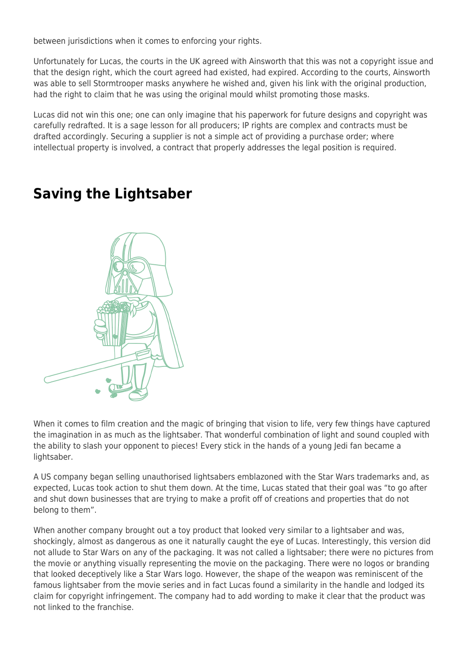between jurisdictions when it comes to enforcing your rights.

Unfortunately for Lucas, the courts in the UK agreed with Ainsworth that this was not a copyright issue and that the design right, which the court agreed had existed, had expired. According to the courts, Ainsworth was able to sell Stormtrooper masks anywhere he wished and, given his link with the original production, had the right to claim that he was using the original mould whilst promoting those masks.

Lucas did not win this one; one can only imagine that his paperwork for future designs and copyright was carefully redrafted. It is a sage lesson for all producers; IP rights are complex and contracts must be drafted accordingly. Securing a supplier is not a simple act of providing a purchase order; where intellectual property is involved, a contract that properly addresses the legal position is required.

### **Saving the Lightsaber**



When it comes to film creation and the magic of bringing that vision to life, very few things have captured the imagination in as much as the lightsaber. That wonderful combination of light and sound coupled with the ability to slash your opponent to pieces! Every stick in the hands of a young Jedi fan became a lightsaber.

A US company began selling unauthorised lightsabers emblazoned with the Star Wars trademarks and, as expected, Lucas took action to shut them down. At the time, Lucas stated that their goal was "to go after and shut down businesses that are trying to make a profit off of creations and properties that do not belong to them".

When another company brought out a toy product that looked very similar to a lightsaber and was, shockingly, almost as dangerous as one it naturally caught the eye of Lucas. Interestingly, this version did not allude to Star Wars on any of the packaging. It was not called a lightsaber; there were no pictures from the movie or anything visually representing the movie on the packaging. There were no logos or branding that looked deceptively like a Star Wars logo. However, the shape of the weapon was reminiscent of the famous lightsaber from the movie series and in fact Lucas found a similarity in the handle and lodged its claim for copyright infringement. The company had to add wording to make it clear that the product was not linked to the franchise.